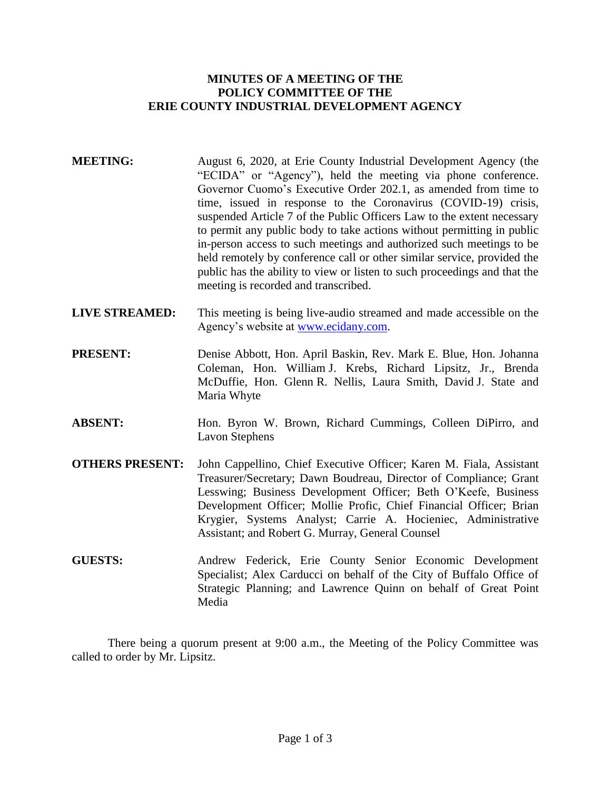# **MINUTES OF A MEETING OF THE POLICY COMMITTEE OF THE ERIE COUNTY INDUSTRIAL DEVELOPMENT AGENCY**

- **MEETING:** August 6, 2020, at Erie County Industrial Development Agency (the "ECIDA" or "Agency"), held the meeting via phone conference. Governor Cuomo's Executive Order 202.1, as amended from time to time, issued in response to the Coronavirus (COVID-19) crisis, suspended Article 7 of the Public Officers Law to the extent necessary to permit any public body to take actions without permitting in public in-person access to such meetings and authorized such meetings to be held remotely by conference call or other similar service, provided the public has the ability to view or listen to such proceedings and that the meeting is recorded and transcribed.
- **LIVE STREAMED:** This meeting is being live-audio streamed and made accessible on the Agency's website at [www.ecidany.com.](http://www.ecidany.com/)
- **PRESENT:** Denise Abbott, Hon. April Baskin, Rev. Mark E. Blue, Hon. Johanna Coleman, Hon. William J. Krebs, Richard Lipsitz, Jr., Brenda McDuffie, Hon. Glenn R. Nellis, Laura Smith, David J. State and Maria Whyte
- **ABSENT:** Hon. Byron W. Brown, Richard Cummings, Colleen DiPirro, and Lavon Stephens
- **OTHERS PRESENT:** John Cappellino, Chief Executive Officer; Karen M. Fiala, Assistant Treasurer/Secretary; Dawn Boudreau, Director of Compliance; Grant Lesswing; Business Development Officer; Beth O'Keefe, Business Development Officer; Mollie Profic, Chief Financial Officer; Brian Krygier, Systems Analyst; Carrie A. Hocieniec, Administrative Assistant; and Robert G. Murray, General Counsel
- **GUESTS:** Andrew Federick, Erie County Senior Economic Development Specialist; Alex Carducci on behalf of the City of Buffalo Office of Strategic Planning; and Lawrence Quinn on behalf of Great Point Media

There being a quorum present at 9:00 a.m., the Meeting of the Policy Committee was called to order by Mr. Lipsitz.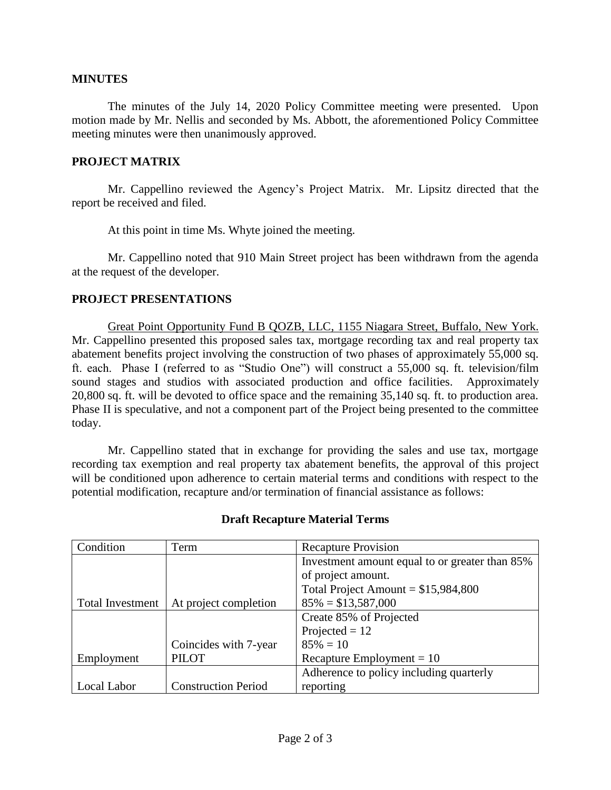#### **MINUTES**

The minutes of the July 14, 2020 Policy Committee meeting were presented. Upon motion made by Mr. Nellis and seconded by Ms. Abbott, the aforementioned Policy Committee meeting minutes were then unanimously approved.

### **PROJECT MATRIX**

Mr. Cappellino reviewed the Agency's Project Matrix. Mr. Lipsitz directed that the report be received and filed.

At this point in time Ms. Whyte joined the meeting.

Mr. Cappellino noted that 910 Main Street project has been withdrawn from the agenda at the request of the developer.

### **PROJECT PRESENTATIONS**

Great Point Opportunity Fund B QOZB, LLC, 1155 Niagara Street, Buffalo, New York. Mr. Cappellino presented this proposed sales tax, mortgage recording tax and real property tax abatement benefits project involving the construction of two phases of approximately 55,000 sq. ft. each. Phase I (referred to as "Studio One") will construct a 55,000 sq. ft. television/film sound stages and studios with associated production and office facilities. Approximately 20,800 sq. ft. will be devoted to office space and the remaining 35,140 sq. ft. to production area. Phase II is speculative, and not a component part of the Project being presented to the committee today.

Mr. Cappellino stated that in exchange for providing the sales and use tax, mortgage recording tax exemption and real property tax abatement benefits, the approval of this project will be conditioned upon adherence to certain material terms and conditions with respect to the potential modification, recapture and/or termination of financial assistance as follows:

| Condition               | Term                       | <b>Recapture Provision</b>                     |
|-------------------------|----------------------------|------------------------------------------------|
|                         |                            | Investment amount equal to or greater than 85% |
|                         |                            | of project amount.                             |
|                         |                            | Total Project Amount = $$15,984,800$           |
| <b>Total Investment</b> | At project completion      | $85\% = $13,587,000$                           |
|                         |                            | Create 85% of Projected                        |
|                         |                            | Projected $= 12$                               |
|                         | Coincides with 7-year      | $85\% = 10$                                    |
| Employment              | <b>PILOT</b>               | Recapture Employment = $10$                    |
|                         |                            | Adherence to policy including quarterly        |
| Local Labor             | <b>Construction Period</b> | reporting                                      |

# **Draft Recapture Material Terms**